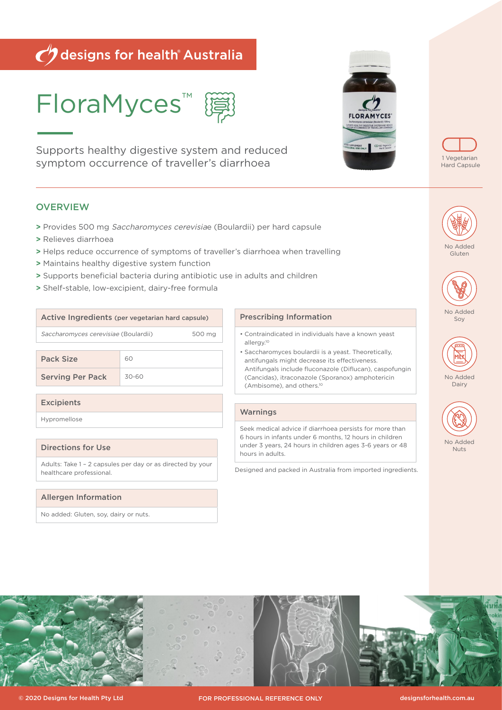# Odesigns for health Australia

FloraMyces™

Supports healthy digestive system and reduced symptom occurrence of traveller's diarrhoea

# **OVERVIEW**

- **>** Provides 500 mg Saccharomyces cerevisiae (Boulardii) per hard capsule
- **>** Relieves diarrhoea

Pack Size 60

**Excipients** Hypromellose

Directions for Use

healthcare professional.

Allergen Information

No added: Gluten, soy, dairy or nuts.

Serving Per Pack 30-60

- **>** Helps reduce occurrence of symptoms of traveller's diarrhoea when travelling
- **>** Maintains healthy digestive system function
- **>** Supports beneficial bacteria during antibiotic use in adults and children
- **>** Shelf-stable, low-excipient, dairy-free formula

Active Ingredients (per vegetarian hard capsule)

Saccharomyces cerevisiae (Boulardii) 500 mg

Adults: Take 1 – 2 capsules per day or as directed by your

## Prescribing Information

- Contraindicated in individuals have a known yeast allergy.10
- Saccharomyces boulardii is a yeast. Theoretically, antifungals might decrease its effectiveness. Antifungals include fluconazole (Diflucan), caspofungin (Cancidas), itraconazole (Sporanox) amphotericin (Ambisome), and others.10

## **Warnings**

Seek medical advice if diarrhoea persists for more than 6 hours in infants under 6 months, 12 hours in children under 3 years, 24 hours in children ages 3-6 years or 48 hours in adults.

Designed and packed in Australia from imported ingredients.